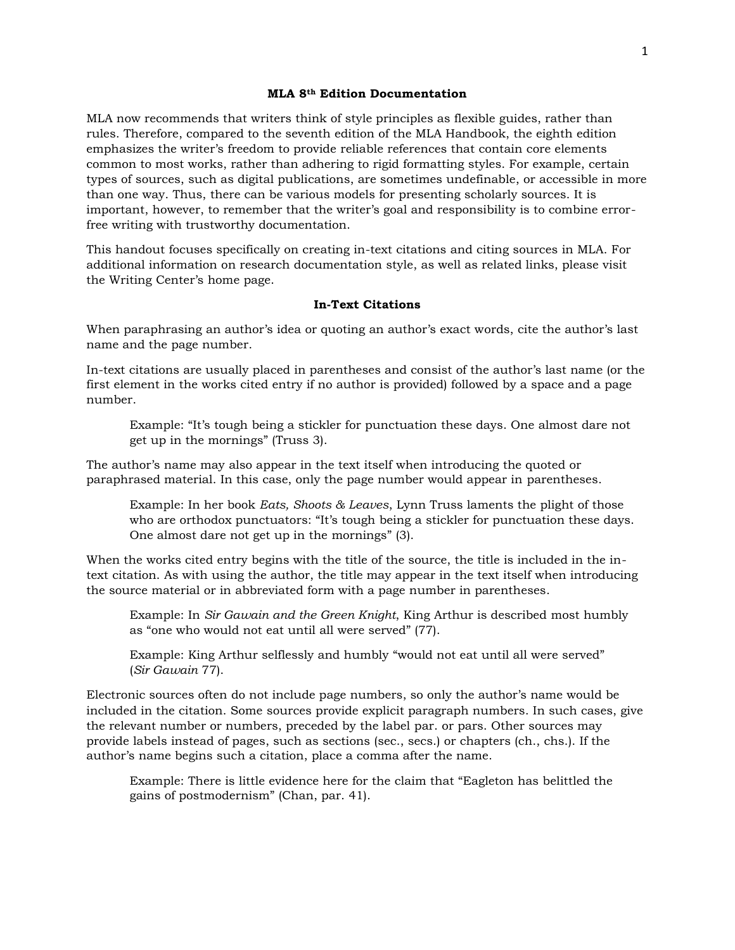### **MLA 8th Edition Documentation**

MLA now recommends that writers think of style principles as flexible guides, rather than rules. Therefore, compared to the seventh edition of the MLA Handbook, the eighth edition emphasizes the writer's freedom to provide reliable references that contain core elements common to most works, rather than adhering to rigid formatting styles. For example, certain types of sources, such as digital publications, are sometimes undefinable, or accessible in more than one way. Thus, there can be various models for presenting scholarly sources. It is important, however, to remember that the writer's goal and responsibility is to combine errorfree writing with trustworthy documentation.

This handout focuses specifically on creating in-text citations and citing sources in MLA. For additional information on research documentation style, as well as related links, please visit the Writing Center's home page.

### **In-Text Citations**

When paraphrasing an author's idea or quoting an author's exact words, cite the author's last name and the page number.

In-text citations are usually placed in parentheses and consist of the author's last name (or the first element in the works cited entry if no author is provided) followed by a space and a page number.

Example: "It's tough being a stickler for punctuation these days. One almost dare not get up in the mornings" (Truss 3).

The author's name may also appear in the text itself when introducing the quoted or paraphrased material. In this case, only the page number would appear in parentheses.

Example: In her book *Eats, Shoots & Leaves*, Lynn Truss laments the plight of those who are orthodox punctuators: "It's tough being a stickler for punctuation these days. One almost dare not get up in the mornings" (3).

When the works cited entry begins with the title of the source, the title is included in the intext citation. As with using the author, the title may appear in the text itself when introducing the source material or in abbreviated form with a page number in parentheses.

Example: In *Sir Gawain and the Green Knight*, King Arthur is described most humbly as "one who would not eat until all were served" (77).

Example: King Arthur selflessly and humbly "would not eat until all were served" (*Sir Gawain* 77).

Electronic sources often do not include page numbers, so only the author's name would be included in the citation. Some sources provide explicit paragraph numbers. In such cases, give the relevant number or numbers, preceded by the label par. or pars. Other sources may provide labels instead of pages, such as sections (sec., secs.) or chapters (ch., chs.). If the author's name begins such a citation, place a comma after the name.

Example: There is little evidence here for the claim that "Eagleton has belittled the gains of postmodernism" (Chan, par. 41).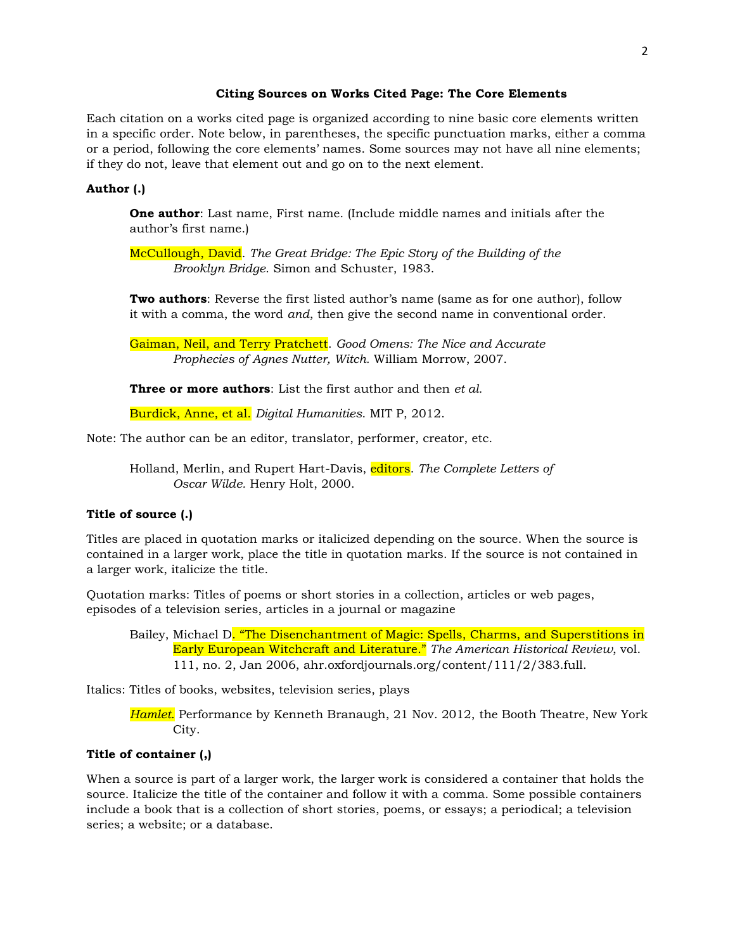### **Citing Sources on Works Cited Page: The Core Elements**

Each citation on a works cited page is organized according to nine basic core elements written in a specific order. Note below, in parentheses, the specific punctuation marks, either a comma or a period, following the core elements' names. Some sources may not have all nine elements; if they do not, leave that element out and go on to the next element.

### **Author (.)**

**One author**: Last name, First name. (Include middle names and initials after the author's first name.)

McCullough, David. *The Great Bridge: The Epic Story of the Building of the Brooklyn Bridge*. Simon and Schuster, 1983.

**Two authors**: Reverse the first listed author's name (same as for one author), follow it with a comma, the word *and*, then give the second name in conventional order.

Gaiman, Neil, and Terry Pratchett. *Good Omens: The Nice and Accurate Prophecies of Agnes Nutter, Witch.* William Morrow, 2007.

**Three or more authors**: List the first author and then *et al.*

Burdick, Anne, et al. *Digital Humanities*. MIT P, 2012.

Note: The author can be an editor, translator, performer, creator, etc.

Holland, Merlin, and Rupert Hart-Davis, editors. *The Complete Letters of Oscar Wilde.* Henry Holt, 2000.

# **Title of source (.)**

Titles are placed in quotation marks or italicized depending on the source. When the source is contained in a larger work, place the title in quotation marks. If the source is not contained in a larger work, italicize the title.

Quotation marks: Titles of poems or short stories in a collection, articles or web pages, episodes of a television series, articles in a journal or magazine

Bailey, Michael D. "The Disenchantment of Magic: Spells, Charms, and Superstitions in Early European Witchcraft and Literature." *The American Historical Review*, vol. 111, no. 2, Jan 2006, ahr.oxfordjournals.org/content/111/2/383.full.

Italics: Titles of books, websites, television series, plays

*Hamlet*. Performance by Kenneth Branaugh, 21 Nov. 2012, the Booth Theatre, New York City.

# **Title of container (,)**

When a source is part of a larger work, the larger work is considered a container that holds the source. Italicize the title of the container and follow it with a comma. Some possible containers include a book that is a collection of short stories, poems, or essays; a periodical; a television series; a website; or a database.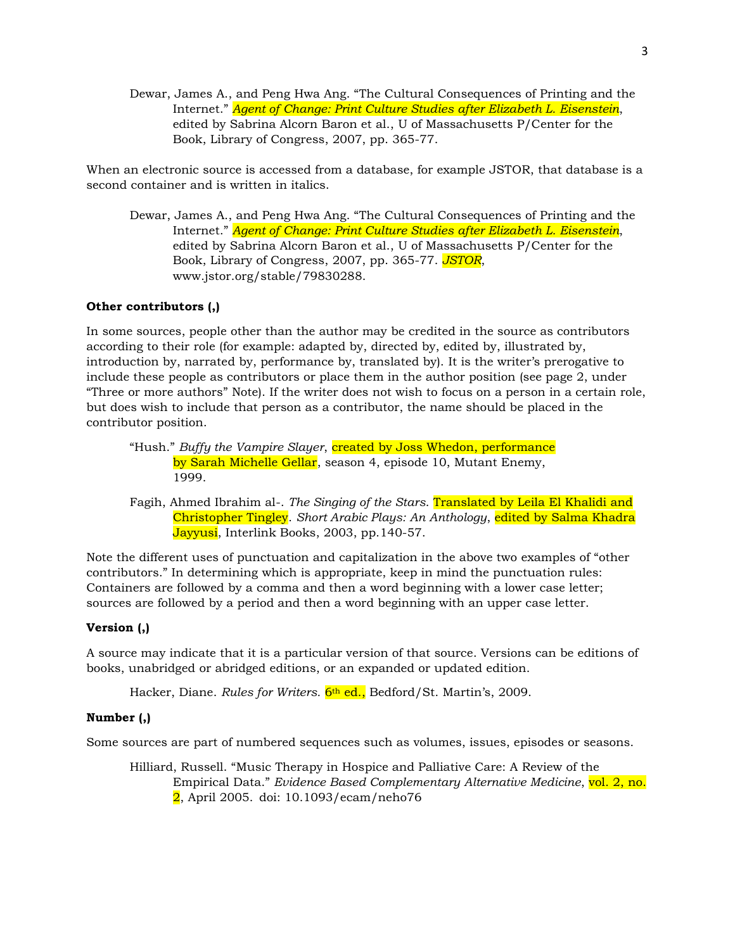Dewar, James A., and Peng Hwa Ang. "The Cultural Consequences of Printing and the Internet." *Agent of Change: Print Culture Studies after Elizabeth L. Eisenstein*, edited by Sabrina Alcorn Baron et al., U of Massachusetts P/Center for the Book, Library of Congress, 2007, pp. 365-77.

When an electronic source is accessed from a database, for example JSTOR, that database is a second container and is written in italics.

Dewar, James A., and Peng Hwa Ang. "The Cultural Consequences of Printing and the Internet." *Agent of Change: Print Culture Studies after Elizabeth L. Eisenstein*, edited by Sabrina Alcorn Baron et al., U of Massachusetts P/Center for the Book, Library of Congress, 2007, pp. 365-77. *JSTOR*, www.jstor.org/stable/79830288.

## **Other contributors (,)**

In some sources, people other than the author may be credited in the source as contributors according to their role (for example: adapted by, directed by, edited by, illustrated by, introduction by, narrated by, performance by, translated by). It is the writer's prerogative to include these people as contributors or place them in the author position (see page 2, under "Three or more authors" Note). If the writer does not wish to focus on a person in a certain role, but does wish to include that person as a contributor, the name should be placed in the contributor position.

- "Hush." *Buffy the Vampire Slayer*, *created by Joss Whedon, performance* by Sarah Michelle Gellar, season 4, episode 10, Mutant Enemy, 1999.
- Fagih, Ahmed Ibrahim al-. *The Singing of the Stars*. Translated by Leila El Khalidi and Christopher Tingley. *Short Arabic Plays: An Anthology*, edited by Salma Khadra Jayyusi, Interlink Books, 2003, pp.140-57.

Note the different uses of punctuation and capitalization in the above two examples of "other contributors." In determining which is appropriate, keep in mind the punctuation rules: Containers are followed by a comma and then a word beginning with a lower case letter; sources are followed by a period and then a word beginning with an upper case letter.

### **Version (,)**

A source may indicate that it is a particular version of that source. Versions can be editions of books, unabridged or abridged editions, or an expanded or updated edition.

Hacker, Diane. *Rules for Writers.* 6<sup>th</sup> ed., Bedford/St. Martin's, 2009.

### **Number (,)**

Some sources are part of numbered sequences such as volumes, issues, episodes or seasons.

Hilliard, Russell. "Music Therapy in Hospice and Palliative Care: A Review of the Empirical Data." *Evidence Based Complementary Alternative Medicine*, vol. 2, no. 2, April 2005. doi: 10.1093/ecam/neho76